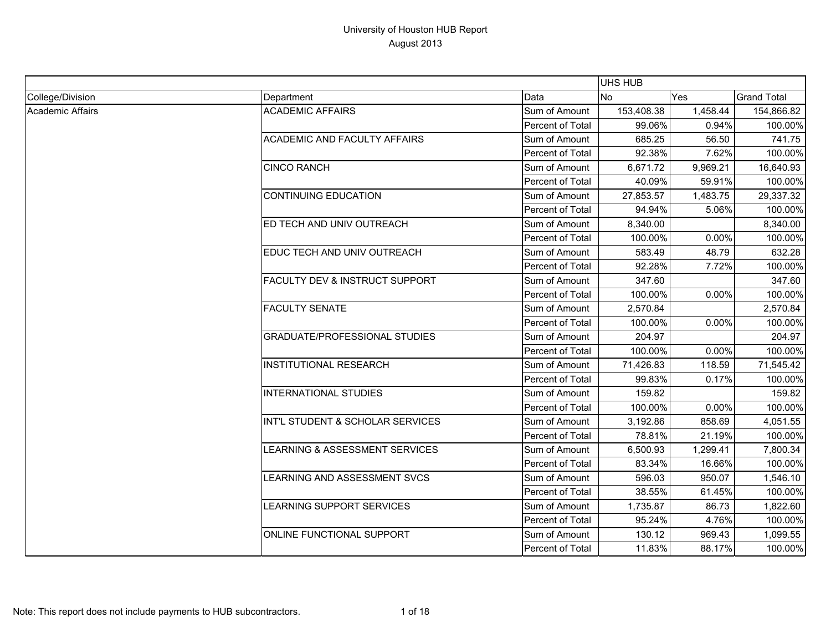|                  |                                           |                  | UHS HUB    |          |                    |
|------------------|-------------------------------------------|------------------|------------|----------|--------------------|
| College/Division | Department                                | Data             | <b>No</b>  | Yes      | <b>Grand Total</b> |
| Academic Affairs | <b>ACADEMIC AFFAIRS</b>                   | Sum of Amount    | 153,408.38 | 1,458.44 | 154,866.82         |
|                  |                                           | Percent of Total | 99.06%     | 0.94%    | 100.00%            |
|                  | <b>ACADEMIC AND FACULTY AFFAIRS</b>       | Sum of Amount    | 685.25     | 56.50    | 741.75             |
|                  |                                           | Percent of Total | 92.38%     | 7.62%    | 100.00%            |
|                  | <b>CINCO RANCH</b>                        | Sum of Amount    | 6,671.72   | 9,969.21 | 16,640.93          |
|                  |                                           | Percent of Total | 40.09%     | 59.91%   | 100.00%            |
|                  | <b>CONTINUING EDUCATION</b>               | Sum of Amount    | 27,853.57  | 1,483.75 | 29,337.32          |
|                  |                                           | Percent of Total | 94.94%     | 5.06%    | 100.00%            |
|                  | ED TECH AND UNIV OUTREACH                 | Sum of Amount    | 8,340.00   |          | 8,340.00           |
|                  |                                           | Percent of Total | 100.00%    | 0.00%    | 100.00%            |
|                  | EDUC TECH AND UNIV OUTREACH               | Sum of Amount    | 583.49     | 48.79    | 632.28             |
|                  |                                           | Percent of Total | 92.28%     | 7.72%    | 100.00%            |
|                  | <b>FACULTY DEV &amp; INSTRUCT SUPPORT</b> | Sum of Amount    | 347.60     |          | 347.60             |
|                  |                                           | Percent of Total | 100.00%    | 0.00%    | 100.00%            |
|                  | <b>FACULTY SENATE</b>                     | Sum of Amount    | 2,570.84   |          | 2,570.84           |
|                  |                                           | Percent of Total | 100.00%    | 0.00%    | 100.00%            |
|                  | <b>GRADUATE/PROFESSIONAL STUDIES</b>      | Sum of Amount    | 204.97     |          | 204.97             |
|                  |                                           | Percent of Total | 100.00%    | 0.00%    | 100.00%            |
|                  | <b>INSTITUTIONAL RESEARCH</b>             | Sum of Amount    | 71,426.83  | 118.59   | 71,545.42          |
|                  |                                           | Percent of Total | 99.83%     | 0.17%    | 100.00%            |
|                  | <b>INTERNATIONAL STUDIES</b>              | Sum of Amount    | 159.82     |          | 159.82             |
|                  |                                           | Percent of Total | 100.00%    | 0.00%    | 100.00%            |
|                  | INT'L STUDENT & SCHOLAR SERVICES          | Sum of Amount    | 3,192.86   | 858.69   | 4,051.55           |
|                  |                                           | Percent of Total | 78.81%     | 21.19%   | 100.00%            |
|                  | LEARNING & ASSESSMENT SERVICES            | Sum of Amount    | 6,500.93   | 1,299.41 | 7,800.34           |
|                  |                                           | Percent of Total | 83.34%     | 16.66%   | 100.00%            |
|                  | LEARNING AND ASSESSMENT SVCS              | Sum of Amount    | 596.03     | 950.07   | 1,546.10           |
|                  |                                           | Percent of Total | 38.55%     | 61.45%   | 100.00%            |
|                  | LEARNING SUPPORT SERVICES                 | Sum of Amount    | 1,735.87   | 86.73    | 1,822.60           |
|                  |                                           | Percent of Total | 95.24%     | 4.76%    | 100.00%            |
|                  | ONLINE FUNCTIONAL SUPPORT                 | Sum of Amount    | 130.12     | 969.43   | 1,099.55           |
|                  |                                           | Percent of Total | 11.83%     | 88.17%   | 100.00%            |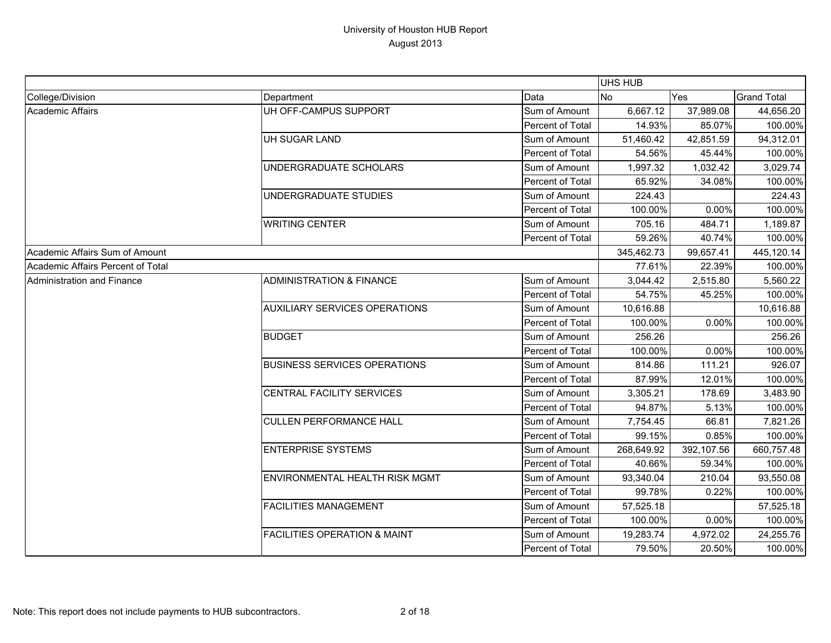|                                   |                                         |                  | <b>UHS HUB</b> |            |                    |
|-----------------------------------|-----------------------------------------|------------------|----------------|------------|--------------------|
| College/Division                  | Department                              | Data             | <b>No</b>      | Yes        | <b>Grand Total</b> |
| Academic Affairs                  | UH OFF-CAMPUS SUPPORT                   | Sum of Amount    | 6,667.12       | 37,989.08  | 44,656.20          |
|                                   |                                         | Percent of Total | 14.93%         | 85.07%     | 100.00%            |
|                                   | UH SUGAR LAND                           | Sum of Amount    | 51,460.42      | 42,851.59  | 94,312.01          |
|                                   |                                         | Percent of Total | 54.56%         | 45.44%     | 100.00%            |
|                                   | UNDERGRADUATE SCHOLARS                  | Sum of Amount    | 1,997.32       | 1,032.42   | 3,029.74           |
|                                   |                                         | Percent of Total | 65.92%         | 34.08%     | 100.00%            |
|                                   | UNDERGRADUATE STUDIES                   | Sum of Amount    | 224.43         |            | 224.43             |
|                                   |                                         | Percent of Total | 100.00%        | 0.00%      | 100.00%            |
|                                   | <b>WRITING CENTER</b>                   | Sum of Amount    | 705.16         | 484.71     | 1,189.87           |
|                                   |                                         | Percent of Total | 59.26%         | 40.74%     | 100.00%            |
| Academic Affairs Sum of Amount    |                                         |                  | 345,462.73     | 99,657.41  | 445,120.14         |
| Academic Affairs Percent of Total |                                         |                  | 77.61%         | 22.39%     | 100.00%            |
| Administration and Finance        | <b>ADMINISTRATION &amp; FINANCE</b>     | Sum of Amount    | 3,044.42       | 2,515.80   | 5,560.22           |
|                                   |                                         | Percent of Total | 54.75%         | 45.25%     | 100.00%            |
|                                   | <b>AUXILIARY SERVICES OPERATIONS</b>    | Sum of Amount    | 10,616.88      |            | 10,616.88          |
|                                   |                                         | Percent of Total | 100.00%        | 0.00%      | 100.00%            |
|                                   | <b>BUDGET</b>                           | Sum of Amount    | 256.26         |            | 256.26             |
|                                   |                                         | Percent of Total | 100.00%        | 0.00%      | 100.00%            |
|                                   | <b>BUSINESS SERVICES OPERATIONS</b>     | Sum of Amount    | 814.86         | 111.21     | 926.07             |
|                                   |                                         | Percent of Total | 87.99%         | 12.01%     | 100.00%            |
|                                   | CENTRAL FACILITY SERVICES               | Sum of Amount    | 3,305.21       | 178.69     | 3,483.90           |
|                                   |                                         | Percent of Total | 94.87%         | 5.13%      | 100.00%            |
|                                   | <b>CULLEN PERFORMANCE HALL</b>          | Sum of Amount    | 7,754.45       | 66.81      | 7,821.26           |
|                                   |                                         | Percent of Total | 99.15%         | 0.85%      | 100.00%            |
|                                   | <b>ENTERPRISE SYSTEMS</b>               | Sum of Amount    | 268,649.92     | 392,107.56 | 660,757.48         |
|                                   |                                         | Percent of Total | 40.66%         | 59.34%     | 100.00%            |
|                                   | ENVIRONMENTAL HEALTH RISK MGMT          | Sum of Amount    | 93,340.04      | 210.04     | 93,550.08          |
|                                   |                                         | Percent of Total | 99.78%         | 0.22%      | 100.00%            |
|                                   | <b>FACILITIES MANAGEMENT</b>            | Sum of Amount    | 57,525.18      |            | 57,525.18          |
|                                   |                                         | Percent of Total | 100.00%        | 0.00%      | 100.00%            |
|                                   | <b>FACILITIES OPERATION &amp; MAINT</b> | Sum of Amount    | 19,283.74      | 4,972.02   | 24,255.76          |
|                                   |                                         | Percent of Total | 79.50%         | 20.50%     | 100.00%            |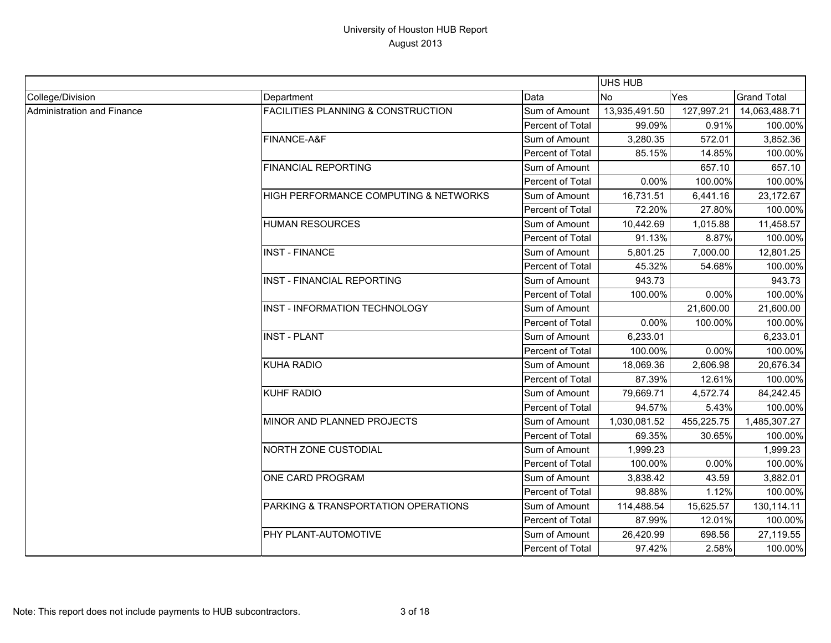|                            |                                               |                         | <b>UHS HUB</b> |            |                    |
|----------------------------|-----------------------------------------------|-------------------------|----------------|------------|--------------------|
| College/Division           | Department                                    | Data                    | <b>No</b>      | Yes        | <b>Grand Total</b> |
| Administration and Finance | <b>FACILITIES PLANNING &amp; CONSTRUCTION</b> | Sum of Amount           | 13,935,491.50  | 127,997.21 | 14,063,488.71      |
|                            |                                               | Percent of Total        | 99.09%         | 0.91%      | 100.00%            |
|                            | FINANCE-A&F                                   | Sum of Amount           | 3,280.35       | 572.01     | 3,852.36           |
|                            |                                               | Percent of Total        | 85.15%         | 14.85%     | 100.00%            |
|                            | <b>FINANCIAL REPORTING</b>                    | Sum of Amount           |                | 657.10     | 657.10             |
|                            |                                               | Percent of Total        | 0.00%          | 100.00%    | 100.00%            |
|                            | HIGH PERFORMANCE COMPUTING & NETWORKS         | Sum of Amount           | 16,731.51      | 6,441.16   | 23,172.67          |
|                            |                                               | Percent of Total        | 72.20%         | 27.80%     | 100.00%            |
|                            | <b>HUMAN RESOURCES</b>                        | Sum of Amount           | 10,442.69      | 1,015.88   | 11,458.57          |
|                            |                                               | Percent of Total        | 91.13%         | 8.87%      | 100.00%            |
|                            | <b>INST - FINANCE</b>                         | Sum of Amount           | 5,801.25       | 7,000.00   | 12,801.25          |
|                            |                                               | Percent of Total        | 45.32%         | 54.68%     | 100.00%            |
|                            | <b>INST - FINANCIAL REPORTING</b>             | Sum of Amount           | 943.73         |            | 943.73             |
|                            |                                               | Percent of Total        | 100.00%        | 0.00%      | 100.00%            |
|                            | INST - INFORMATION TECHNOLOGY                 | Sum of Amount           |                | 21,600.00  | 21,600.00          |
|                            |                                               | <b>Percent of Total</b> | 0.00%          | 100.00%    | 100.00%            |
|                            | <b>INST - PLANT</b>                           | Sum of Amount           | 6,233.01       |            | 6,233.01           |
|                            |                                               | Percent of Total        | 100.00%        | 0.00%      | 100.00%            |
|                            | <b>KUHA RADIO</b>                             | Sum of Amount           | 18,069.36      | 2,606.98   | 20,676.34          |
|                            |                                               | Percent of Total        | 87.39%         | 12.61%     | 100.00%            |
|                            | <b>KUHF RADIO</b>                             | Sum of Amount           | 79,669.71      | 4,572.74   | 84,242.45          |
|                            |                                               | <b>Percent of Total</b> | 94.57%         | 5.43%      | 100.00%            |
|                            | MINOR AND PLANNED PROJECTS                    | Sum of Amount           | 1,030,081.52   | 455,225.75 | 1,485,307.27       |
|                            |                                               | Percent of Total        | 69.35%         | 30.65%     | 100.00%            |
|                            | <b>NORTH ZONE CUSTODIAL</b>                   | Sum of Amount           | 1,999.23       |            | 1,999.23           |
|                            |                                               | Percent of Total        | 100.00%        | 0.00%      | 100.00%            |
|                            | ONE CARD PROGRAM                              | Sum of Amount           | 3,838.42       | 43.59      | 3,882.01           |
|                            |                                               | Percent of Total        | 98.88%         | 1.12%      | 100.00%            |
|                            | PARKING & TRANSPORTATION OPERATIONS           | Sum of Amount           | 114,488.54     | 15,625.57  | 130,114.11         |
|                            |                                               | Percent of Total        | 87.99%         | 12.01%     | 100.00%            |
|                            | PHY PLANT-AUTOMOTIVE                          | Sum of Amount           | 26,420.99      | 698.56     | 27,119.55          |
|                            |                                               | Percent of Total        | 97.42%         | 2.58%      | 100.00%            |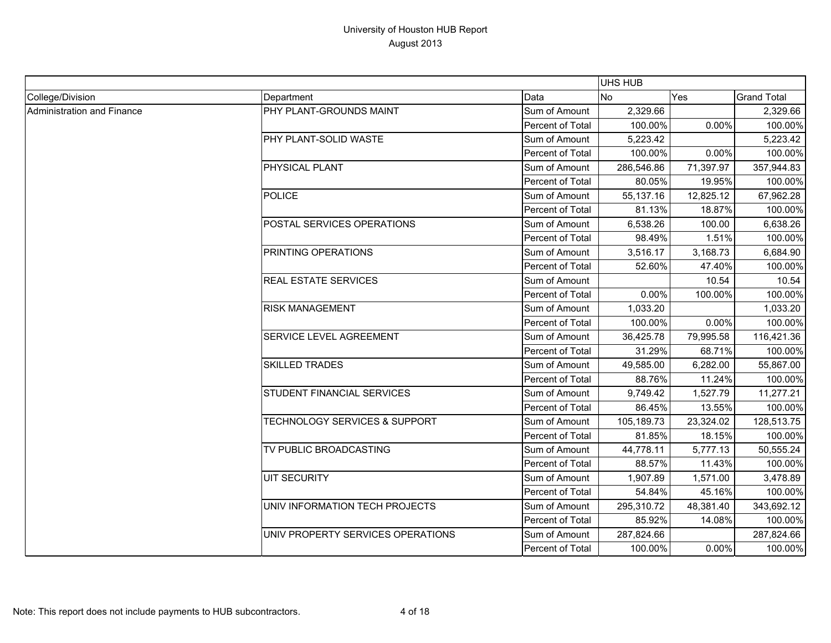|                            |                                          |                  | <b>UHS HUB</b> |           |                    |
|----------------------------|------------------------------------------|------------------|----------------|-----------|--------------------|
| College/Division           | Department                               | Data             | <b>No</b>      | Yes       | <b>Grand Total</b> |
| Administration and Finance | PHY PLANT-GROUNDS MAINT                  | Sum of Amount    | 2,329.66       |           | 2,329.66           |
|                            |                                          | Percent of Total | 100.00%        | 0.00%     | 100.00%            |
|                            | PHY PLANT-SOLID WASTE                    | Sum of Amount    | 5,223.42       |           | 5,223.42           |
|                            |                                          | Percent of Total | 100.00%        | 0.00%     | 100.00%            |
|                            | PHYSICAL PLANT                           | Sum of Amount    | 286,546.86     | 71,397.97 | 357,944.83         |
|                            |                                          | Percent of Total | 80.05%         | 19.95%    | 100.00%            |
|                            | <b>POLICE</b>                            | Sum of Amount    | 55,137.16      | 12,825.12 | 67,962.28          |
|                            |                                          | Percent of Total | 81.13%         | 18.87%    | 100.00%            |
|                            | POSTAL SERVICES OPERATIONS               | Sum of Amount    | 6,538.26       | 100.00    | 6,638.26           |
|                            |                                          | Percent of Total | 98.49%         | 1.51%     | 100.00%            |
|                            | PRINTING OPERATIONS                      | Sum of Amount    | 3,516.17       | 3,168.73  | 6,684.90           |
|                            |                                          | Percent of Total | 52.60%         | 47.40%    | 100.00%            |
|                            | <b>REAL ESTATE SERVICES</b>              | Sum of Amount    |                | 10.54     | 10.54              |
|                            |                                          | Percent of Total | 0.00%          | 100.00%   | 100.00%            |
|                            | <b>RISK MANAGEMENT</b>                   | Sum of Amount    | 1,033.20       |           | 1,033.20           |
|                            |                                          | Percent of Total | 100.00%        | 0.00%     | 100.00%            |
|                            | SERVICE LEVEL AGREEMENT                  | Sum of Amount    | 36,425.78      | 79,995.58 | 116,421.36         |
|                            |                                          | Percent of Total | 31.29%         | 68.71%    | 100.00%            |
|                            | <b>SKILLED TRADES</b>                    | Sum of Amount    | 49,585.00      | 6,282.00  | 55,867.00          |
|                            |                                          | Percent of Total | 88.76%         | 11.24%    | 100.00%            |
|                            | <b>STUDENT FINANCIAL SERVICES</b>        | Sum of Amount    | 9,749.42       | 1,527.79  | 11,277.21          |
|                            |                                          | Percent of Total | 86.45%         | 13.55%    | 100.00%            |
|                            | <b>TECHNOLOGY SERVICES &amp; SUPPORT</b> | Sum of Amount    | 105,189.73     | 23,324.02 | 128,513.75         |
|                            |                                          | Percent of Total | 81.85%         | 18.15%    | 100.00%            |
|                            | TV PUBLIC BROADCASTING                   | Sum of Amount    | 44,778.11      | 5,777.13  | 50,555.24          |
|                            |                                          | Percent of Total | 88.57%         | 11.43%    | 100.00%            |
|                            | <b>UIT SECURITY</b>                      | Sum of Amount    | 1,907.89       | 1,571.00  | 3,478.89           |
|                            |                                          | Percent of Total | 54.84%         | 45.16%    | 100.00%            |
|                            | UNIV INFORMATION TECH PROJECTS           | Sum of Amount    | 295,310.72     | 48,381.40 | 343,692.12         |
|                            |                                          | Percent of Total | 85.92%         | 14.08%    | 100.00%            |
|                            | UNIV PROPERTY SERVICES OPERATIONS        | Sum of Amount    | 287,824.66     |           | 287,824.66         |
|                            |                                          | Percent of Total | 100.00%        | 0.00%     | 100.00%            |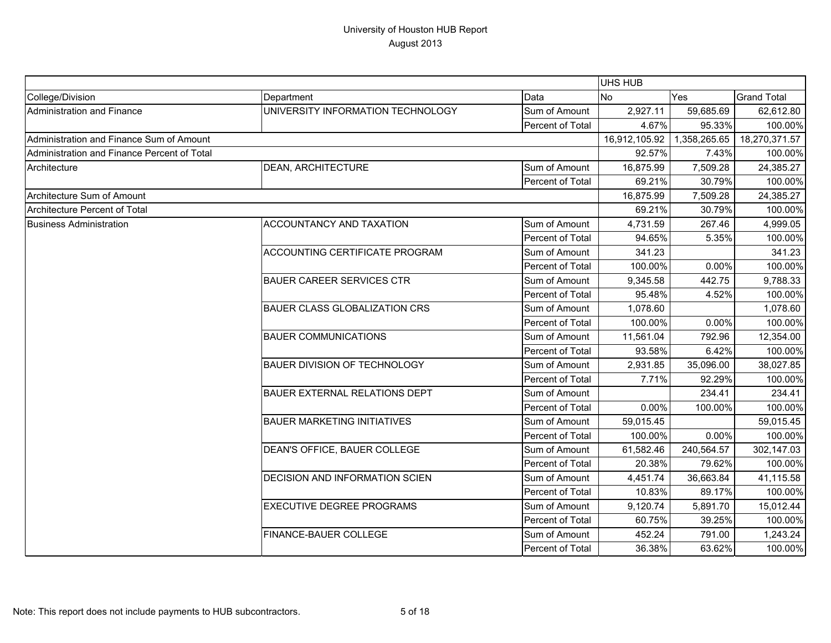|                                             |                                      |                  | UHS HUB       |              |                    |
|---------------------------------------------|--------------------------------------|------------------|---------------|--------------|--------------------|
| College/Division                            | Department                           | Data             | <b>No</b>     | Yes          | <b>Grand Total</b> |
| Administration and Finance                  | UNIVERSITY INFORMATION TECHNOLOGY    | Sum of Amount    | 2,927.11      | 59,685.69    | 62,612.80          |
|                                             |                                      | Percent of Total | 4.67%         | 95.33%       | 100.00%            |
| Administration and Finance Sum of Amount    |                                      |                  | 16,912,105.92 | 1,358,265.65 | 18,270,371.57      |
| Administration and Finance Percent of Total |                                      |                  | 92.57%        | 7.43%        | 100.00%            |
| Architecture                                | <b>DEAN, ARCHITECTURE</b>            | Sum of Amount    | 16,875.99     | 7,509.28     | 24,385.27          |
|                                             |                                      | Percent of Total | 69.21%        | 30.79%       | 100.00%            |
| Architecture Sum of Amount                  |                                      | 16,875.99        | 7,509.28      | 24,385.27    |                    |
| Architecture Percent of Total               |                                      |                  | 69.21%        | 30.79%       | 100.00%            |
| <b>Business Administration</b>              | <b>ACCOUNTANCY AND TAXATION</b>      | Sum of Amount    | 4,731.59      | 267.46       | 4,999.05           |
|                                             |                                      | Percent of Total | 94.65%        | 5.35%        | 100.00%            |
|                                             | ACCOUNTING CERTIFICATE PROGRAM       | Sum of Amount    | 341.23        |              | 341.23             |
|                                             |                                      | Percent of Total | 100.00%       | 0.00%        | 100.00%            |
|                                             | <b>BAUER CAREER SERVICES CTR</b>     | Sum of Amount    | 9,345.58      | 442.75       | 9,788.33           |
|                                             |                                      | Percent of Total | 95.48%        | 4.52%        | 100.00%            |
|                                             | <b>BAUER CLASS GLOBALIZATION CRS</b> | Sum of Amount    | 1,078.60      |              | 1,078.60           |
|                                             |                                      | Percent of Total | 100.00%       | 0.00%        | 100.00%            |
|                                             | <b>BAUER COMMUNICATIONS</b>          | Sum of Amount    | 11,561.04     | 792.96       | 12,354.00          |
|                                             |                                      | Percent of Total | 93.58%        | 6.42%        | 100.00%            |
|                                             | <b>BAUER DIVISION OF TECHNOLOGY</b>  | Sum of Amount    | 2,931.85      | 35,096.00    | 38,027.85          |
|                                             |                                      | Percent of Total | 7.71%         | 92.29%       | 100.00%            |
|                                             | <b>BAUER EXTERNAL RELATIONS DEPT</b> | Sum of Amount    |               | 234.41       | 234.41             |
|                                             |                                      | Percent of Total | 0.00%         | 100.00%      | 100.00%            |
|                                             | <b>BAUER MARKETING INITIATIVES</b>   | Sum of Amount    | 59,015.45     |              | 59,015.45          |
|                                             |                                      | Percent of Total | 100.00%       | 0.00%        | 100.00%            |
|                                             | DEAN'S OFFICE, BAUER COLLEGE         | Sum of Amount    | 61,582.46     | 240,564.57   | 302,147.03         |
|                                             |                                      | Percent of Total | 20.38%        | 79.62%       | 100.00%            |
|                                             | DECISION AND INFORMATION SCIEN       | Sum of Amount    | 4,451.74      | 36,663.84    | 41,115.58          |
|                                             |                                      | Percent of Total | 10.83%        | 89.17%       | 100.00%            |
|                                             | <b>EXECUTIVE DEGREE PROGRAMS</b>     | Sum of Amount    | 9,120.74      | 5,891.70     | 15,012.44          |
|                                             |                                      | Percent of Total | 60.75%        | 39.25%       | 100.00%            |
|                                             | <b>FINANCE-BAUER COLLEGE</b>         | Sum of Amount    | 452.24        | 791.00       | 1,243.24           |
|                                             |                                      | Percent of Total | 36.38%        | 63.62%       | 100.00%            |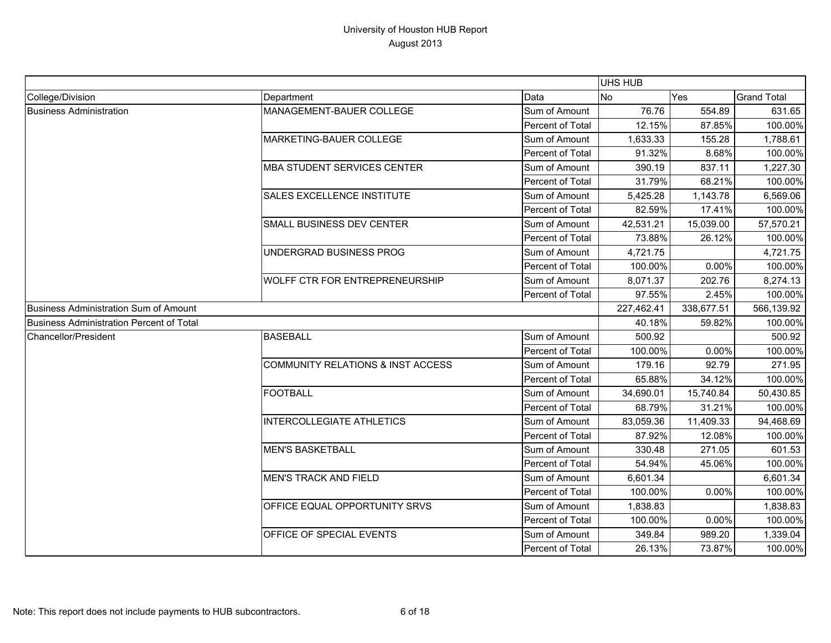|                                                 |                                    |                  | <b>UHS HUB</b> |            |                    |
|-------------------------------------------------|------------------------------------|------------------|----------------|------------|--------------------|
| College/Division                                | Department                         | Data             | No             | Yes        | <b>Grand Total</b> |
| <b>Business Administration</b>                  | MANAGEMENT-BAUER COLLEGE           | Sum of Amount    | 76.76          | 554.89     | 631.65             |
|                                                 |                                    | Percent of Total | 12.15%         | 87.85%     | 100.00%            |
|                                                 | MARKETING-BAUER COLLEGE            | Sum of Amount    | 1,633.33       | 155.28     | 1,788.61           |
|                                                 |                                    | Percent of Total | 91.32%         | 8.68%      | 100.00%            |
|                                                 | <b>MBA STUDENT SERVICES CENTER</b> | Sum of Amount    | 390.19         | 837.11     | 1,227.30           |
|                                                 |                                    | Percent of Total | 31.79%         | 68.21%     | 100.00%            |
|                                                 | <b>SALES EXCELLENCE INSTITUTE</b>  | Sum of Amount    | 5,425.28       | 1,143.78   | 6,569.06           |
|                                                 |                                    | Percent of Total | 82.59%         | 17.41%     | 100.00%            |
|                                                 | SMALL BUSINESS DEV CENTER          | Sum of Amount    | 42,531.21      | 15,039.00  | 57,570.21          |
|                                                 |                                    | Percent of Total | 73.88%         | 26.12%     | 100.00%            |
|                                                 | UNDERGRAD BUSINESS PROG            | Sum of Amount    | 4,721.75       |            | 4,721.75           |
|                                                 |                                    | Percent of Total | 100.00%        | 0.00%      | 100.00%            |
|                                                 | WOLFF CTR FOR ENTREPRENEURSHIP     | Sum of Amount    | 8,071.37       | 202.76     | 8,274.13           |
|                                                 |                                    | Percent of Total | 97.55%         | 2.45%      | 100.00%            |
| <b>Business Administration Sum of Amount</b>    |                                    |                  | 227,462.41     | 338,677.51 | 566,139.92         |
| <b>Business Administration Percent of Total</b> |                                    |                  | 40.18%         | 59.82%     | 100.00%            |
| <b>Chancellor/President</b>                     | <b>BASEBALL</b>                    | Sum of Amount    | 500.92         |            | 500.92             |
|                                                 |                                    | Percent of Total | 100.00%        | 0.00%      | 100.00%            |
|                                                 | COMMUNITY RELATIONS & INST ACCESS  | Sum of Amount    | 179.16         | 92.79      | 271.95             |
|                                                 |                                    | Percent of Total | 65.88%         | 34.12%     | 100.00%            |
|                                                 | <b>FOOTBALL</b>                    | Sum of Amount    | 34,690.01      | 15,740.84  | 50,430.85          |
|                                                 |                                    | Percent of Total | 68.79%         | 31.21%     | 100.00%            |
|                                                 | <b>INTERCOLLEGIATE ATHLETICS</b>   | Sum of Amount    | 83,059.36      | 11,409.33  | 94,468.69          |
|                                                 |                                    | Percent of Total | 87.92%         | 12.08%     | 100.00%            |
|                                                 | <b>MEN'S BASKETBALL</b>            | Sum of Amount    | 330.48         | 271.05     | 601.53             |
|                                                 |                                    | Percent of Total | 54.94%         | 45.06%     | 100.00%            |
|                                                 | <b>MEN'S TRACK AND FIELD</b>       | Sum of Amount    | 6,601.34       |            | 6,601.34           |
|                                                 |                                    | Percent of Total | 100.00%        | 0.00%      | 100.00%            |
|                                                 | OFFICE EQUAL OPPORTUNITY SRVS      | Sum of Amount    | 1,838.83       |            | 1,838.83           |
|                                                 |                                    | Percent of Total | 100.00%        | 0.00%      | 100.00%            |
|                                                 | OFFICE OF SPECIAL EVENTS           | Sum of Amount    | 349.84         | 989.20     | 1,339.04           |
|                                                 |                                    | Percent of Total | 26.13%         | 73.87%     | 100.00%            |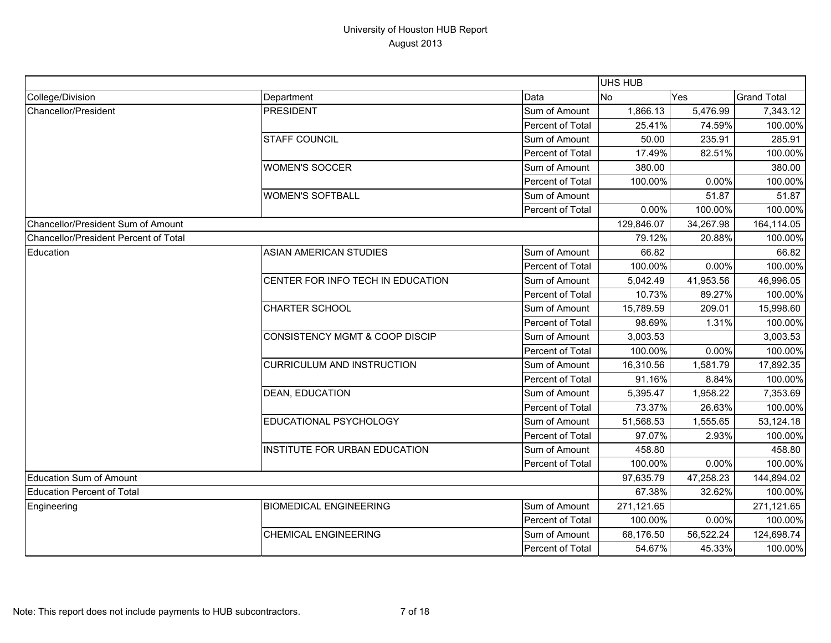|                                       |                                           |                  | UHS HUB    |           |                    |
|---------------------------------------|-------------------------------------------|------------------|------------|-----------|--------------------|
| College/Division                      | Department                                | Data             | <b>No</b>  | Yes       | <b>Grand Total</b> |
| Chancellor/President                  | <b>PRESIDENT</b>                          | Sum of Amount    | 1,866.13   | 5,476.99  | 7,343.12           |
|                                       |                                           | Percent of Total | 25.41%     | 74.59%    | 100.00%            |
|                                       | <b>STAFF COUNCIL</b>                      | Sum of Amount    | 50.00      | 235.91    | 285.91             |
|                                       |                                           | Percent of Total | 17.49%     | 82.51%    | 100.00%            |
|                                       | <b>WOMEN'S SOCCER</b>                     | Sum of Amount    | 380.00     |           | 380.00             |
|                                       |                                           | Percent of Total | 100.00%    | 0.00%     | 100.00%            |
|                                       | <b>WOMEN'S SOFTBALL</b>                   | Sum of Amount    |            | 51.87     | 51.87              |
|                                       |                                           | Percent of Total | $0.00\%$   | 100.00%   | 100.00%            |
| Chancellor/President Sum of Amount    |                                           |                  | 129,846.07 | 34,267.98 | 164,114.05         |
| Chancellor/President Percent of Total |                                           |                  | 79.12%     | 20.88%    | 100.00%            |
| Education                             | <b>ASIAN AMERICAN STUDIES</b>             | Sum of Amount    | 66.82      |           | 66.82              |
|                                       |                                           | Percent of Total | 100.00%    | 0.00%     | 100.00%            |
|                                       | CENTER FOR INFO TECH IN EDUCATION         | Sum of Amount    | 5,042.49   | 41,953.56 | 46,996.05          |
|                                       |                                           | Percent of Total | 10.73%     | 89.27%    | 100.00%            |
|                                       | <b>CHARTER SCHOOL</b>                     | Sum of Amount    | 15,789.59  | 209.01    | 15,998.60          |
|                                       |                                           | Percent of Total | 98.69%     | 1.31%     | 100.00%            |
|                                       | <b>CONSISTENCY MGMT &amp; COOP DISCIP</b> | Sum of Amount    | 3,003.53   |           | 3,003.53           |
|                                       |                                           | Percent of Total | 100.00%    | 0.00%     | 100.00%            |
|                                       | <b>CURRICULUM AND INSTRUCTION</b>         | Sum of Amount    | 16,310.56  | 1,581.79  | 17,892.35          |
|                                       |                                           | Percent of Total | 91.16%     | 8.84%     | 100.00%            |
|                                       | <b>DEAN, EDUCATION</b>                    | Sum of Amount    | 5,395.47   | 1,958.22  | 7,353.69           |
|                                       |                                           | Percent of Total | 73.37%     | 26.63%    | 100.00%            |
|                                       | EDUCATIONAL PSYCHOLOGY                    | Sum of Amount    | 51,568.53  | 1,555.65  | 53,124.18          |
|                                       |                                           | Percent of Total | 97.07%     | 2.93%     | 100.00%            |
|                                       | INSTITUTE FOR URBAN EDUCATION             | Sum of Amount    | 458.80     |           | 458.80             |
|                                       |                                           | Percent of Total | 100.00%    | 0.00%     | 100.00%            |
| Education Sum of Amount               |                                           |                  | 97,635.79  | 47,258.23 | 144,894.02         |
| Education Percent of Total            |                                           |                  | 67.38%     | 32.62%    | 100.00%            |
| Engineering                           | <b>BIOMEDICAL ENGINEERING</b>             | Sum of Amount    | 271,121.65 |           | 271,121.65         |
|                                       |                                           | Percent of Total | 100.00%    | 0.00%     | 100.00%            |
|                                       | <b>CHEMICAL ENGINEERING</b>               | Sum of Amount    | 68,176.50  | 56,522.24 | 124,698.74         |
|                                       |                                           | Percent of Total | 54.67%     | 45.33%    | 100.00%            |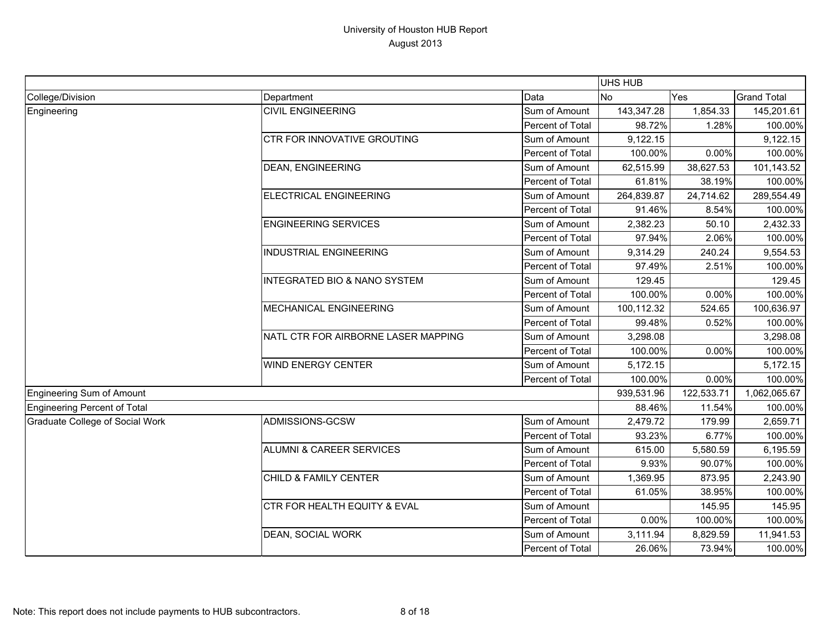|                                 |                                         |                  | UHS HUB    |            |                    |
|---------------------------------|-----------------------------------------|------------------|------------|------------|--------------------|
| College/Division                | Department                              | Data             | <b>No</b>  | Yes        | <b>Grand Total</b> |
| Engineering                     | <b>CIVIL ENGINEERING</b>                | Sum of Amount    | 143,347.28 | 1,854.33   | 145,201.61         |
|                                 |                                         | Percent of Total | 98.72%     | 1.28%      | 100.00%            |
|                                 | CTR FOR INNOVATIVE GROUTING             | Sum of Amount    | 9,122.15   |            | 9,122.15           |
|                                 |                                         | Percent of Total | 100.00%    | 0.00%      | 100.00%            |
|                                 | <b>DEAN, ENGINEERING</b>                | Sum of Amount    | 62,515.99  | 38,627.53  | 101,143.52         |
|                                 |                                         | Percent of Total | 61.81%     | 38.19%     | 100.00%            |
|                                 | <b>ELECTRICAL ENGINEERING</b>           | Sum of Amount    | 264,839.87 | 24,714.62  | 289,554.49         |
|                                 |                                         | Percent of Total | 91.46%     | 8.54%      | 100.00%            |
|                                 | <b>ENGINEERING SERVICES</b>             | Sum of Amount    | 2,382.23   | 50.10      | 2,432.33           |
|                                 |                                         | Percent of Total | 97.94%     | 2.06%      | 100.00%            |
|                                 | <b>INDUSTRIAL ENGINEERING</b>           | Sum of Amount    | 9,314.29   | 240.24     | 9,554.53           |
|                                 |                                         | Percent of Total | 97.49%     | 2.51%      | 100.00%            |
|                                 | <b>INTEGRATED BIO &amp; NANO SYSTEM</b> | Sum of Amount    | 129.45     |            | 129.45             |
|                                 |                                         | Percent of Total | 100.00%    | 0.00%      | 100.00%            |
|                                 | <b>MECHANICAL ENGINEERING</b>           | Sum of Amount    | 100,112.32 | 524.65     | 100,636.97         |
|                                 |                                         | Percent of Total | 99.48%     | 0.52%      | 100.00%            |
|                                 | NATL CTR FOR AIRBORNE LASER MAPPING     | Sum of Amount    | 3,298.08   |            | 3,298.08           |
|                                 |                                         | Percent of Total | 100.00%    | 0.00%      | 100.00%            |
|                                 | <b>WIND ENERGY CENTER</b>               | Sum of Amount    | 5,172.15   |            | 5,172.15           |
|                                 |                                         | Percent of Total | 100.00%    | 0.00%      | 100.00%            |
| Engineering Sum of Amount       |                                         |                  | 939,531.96 | 122,533.71 | 1,062,065.67       |
| Engineering Percent of Total    |                                         |                  | 88.46%     | 11.54%     | 100.00%            |
| Graduate College of Social Work | ADMISSIONS-GCSW                         | Sum of Amount    | 2,479.72   | 179.99     | 2,659.71           |
|                                 |                                         | Percent of Total | 93.23%     | 6.77%      | 100.00%            |
|                                 | <b>ALUMNI &amp; CAREER SERVICES</b>     | Sum of Amount    | 615.00     | 5,580.59   | 6,195.59           |
|                                 |                                         | Percent of Total | 9.93%      | 90.07%     | 100.00%            |
|                                 | CHILD & FAMILY CENTER                   | Sum of Amount    | 1,369.95   | 873.95     | 2,243.90           |
|                                 |                                         | Percent of Total | 61.05%     | 38.95%     | 100.00%            |
|                                 | CTR FOR HEALTH EQUITY & EVAL            | Sum of Amount    |            | 145.95     | 145.95             |
|                                 |                                         | Percent of Total | 0.00%      | 100.00%    | 100.00%            |
|                                 | DEAN, SOCIAL WORK                       | Sum of Amount    | 3,111.94   | 8,829.59   | 11,941.53          |
|                                 |                                         | Percent of Total | 26.06%     | 73.94%     | 100.00%            |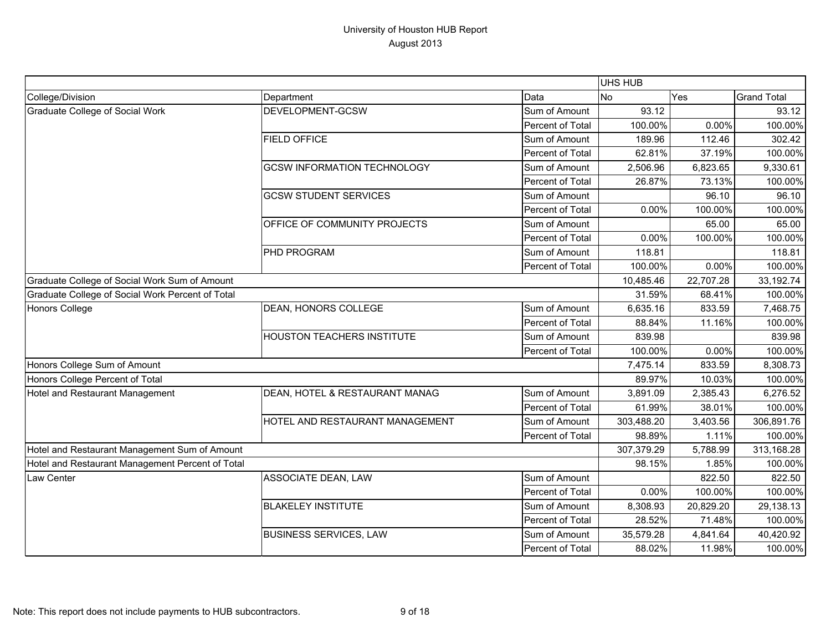|                                                  |                                    |                  | UHS HUB    |             |                    |
|--------------------------------------------------|------------------------------------|------------------|------------|-------------|--------------------|
| College/Division                                 | Department                         | Data             | <b>No</b>  | Yes         | <b>Grand Total</b> |
| <b>Graduate College of Social Work</b>           | DEVELOPMENT-GCSW                   | Sum of Amount    | 93.12      |             | 93.12              |
|                                                  |                                    | Percent of Total | 100.00%    | 0.00%       | 100.00%            |
|                                                  | <b>FIELD OFFICE</b>                | Sum of Amount    | 189.96     | 112.46      | 302.42             |
|                                                  |                                    | Percent of Total | 62.81%     | 37.19%      | 100.00%            |
|                                                  | <b>GCSW INFORMATION TECHNOLOGY</b> | Sum of Amount    | 2,506.96   | 6,823.65    | 9,330.61           |
|                                                  |                                    | Percent of Total | 26.87%     | 73.13%      | 100.00%            |
|                                                  | <b>GCSW STUDENT SERVICES</b>       | Sum of Amount    |            | 96.10       | 96.10              |
|                                                  |                                    | Percent of Total | 0.00%      | 100.00%     | 100.00%            |
|                                                  | OFFICE OF COMMUNITY PROJECTS       | Sum of Amount    |            | 65.00       | 65.00              |
|                                                  |                                    | Percent of Total | 0.00%      | 100.00%     | 100.00%            |
|                                                  | PHD PROGRAM                        | Sum of Amount    | 118.81     |             | 118.81             |
|                                                  |                                    | Percent of Total | 100.00%    | 0.00%       | 100.00%            |
| Graduate College of Social Work Sum of Amount    |                                    | 10,485.46        | 22,707.28  | 33, 192. 74 |                    |
| Graduate College of Social Work Percent of Total |                                    |                  | 31.59%     | 68.41%      | 100.00%            |
| <b>Honors College</b>                            | <b>DEAN, HONORS COLLEGE</b>        | Sum of Amount    | 6,635.16   | 833.59      | 7,468.75           |
|                                                  |                                    | Percent of Total | 88.84%     | 11.16%      | 100.00%            |
|                                                  | <b>HOUSTON TEACHERS INSTITUTE</b>  | Sum of Amount    | 839.98     |             | 839.98             |
|                                                  |                                    | Percent of Total | 100.00%    | 0.00%       | 100.00%            |
| Honors College Sum of Amount                     |                                    |                  | 7,475.14   | 833.59      | 8,308.73           |
| Honors College Percent of Total                  |                                    |                  | 89.97%     | 10.03%      | 100.00%            |
| Hotel and Restaurant Management                  | DEAN, HOTEL & RESTAURANT MANAG     | Sum of Amount    | 3,891.09   | 2,385.43    | 6,276.52           |
|                                                  |                                    | Percent of Total | 61.99%     | 38.01%      | 100.00%            |
|                                                  | HOTEL AND RESTAURANT MANAGEMENT    | Sum of Amount    | 303,488.20 | 3,403.56    | 306,891.76         |
|                                                  |                                    | Percent of Total | 98.89%     | 1.11%       | 100.00%            |
| Hotel and Restaurant Management Sum of Amount    |                                    |                  | 307,379.29 | 5,788.99    | 313,168.28         |
| Hotel and Restaurant Management Percent of Total |                                    |                  | 98.15%     | 1.85%       | 100.00%            |
| Law Center                                       | <b>ASSOCIATE DEAN, LAW</b>         | Sum of Amount    |            | 822.50      | 822.50             |
|                                                  |                                    | Percent of Total | 0.00%      | 100.00%     | 100.00%            |
|                                                  | <b>BLAKELEY INSTITUTE</b>          | Sum of Amount    | 8,308.93   | 20,829.20   | 29,138.13          |
|                                                  |                                    | Percent of Total | 28.52%     | 71.48%      | 100.00%            |
|                                                  | <b>BUSINESS SERVICES, LAW</b>      | Sum of Amount    | 35,579.28  | 4,841.64    | 40,420.92          |
|                                                  |                                    | Percent of Total | 88.02%     | 11.98%      | 100.00%            |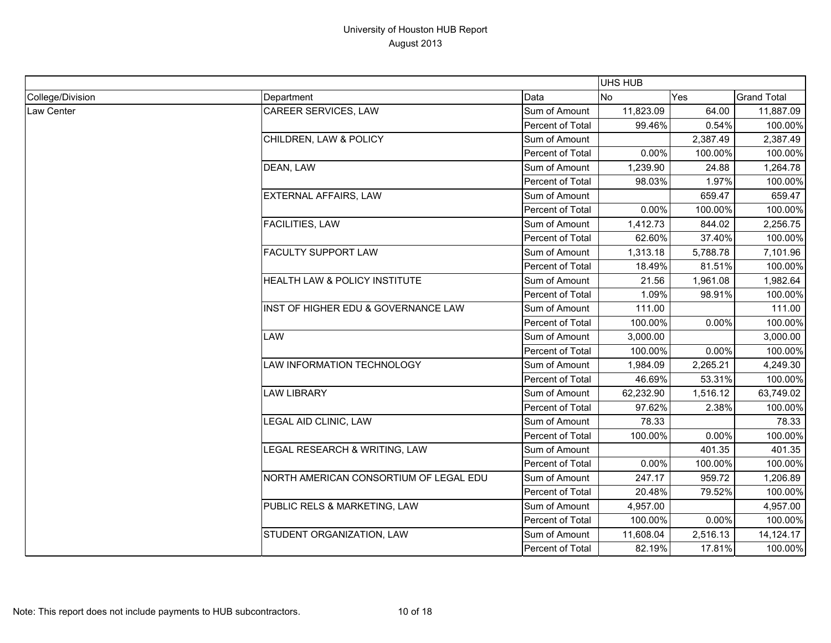|                  |                                        |                  | <b>UHS HUB</b> |          |                    |
|------------------|----------------------------------------|------------------|----------------|----------|--------------------|
| College/Division | Department                             | Data             | <b>No</b>      | Yes      | <b>Grand Total</b> |
| Law Center       | CAREER SERVICES, LAW                   | Sum of Amount    | 11,823.09      | 64.00    | 11,887.09          |
|                  |                                        | Percent of Total | 99.46%         | 0.54%    | 100.00%            |
|                  | CHILDREN, LAW & POLICY                 | Sum of Amount    |                | 2,387.49 | 2,387.49           |
|                  |                                        | Percent of Total | 0.00%          | 100.00%  | 100.00%            |
|                  | DEAN, LAW                              | Sum of Amount    | 1,239.90       | 24.88    | 1,264.78           |
|                  |                                        | Percent of Total | 98.03%         | 1.97%    | 100.00%            |
|                  | <b>EXTERNAL AFFAIRS, LAW</b>           | Sum of Amount    |                | 659.47   | 659.47             |
|                  |                                        | Percent of Total | 0.00%          | 100.00%  | 100.00%            |
|                  | <b>FACILITIES, LAW</b>                 | Sum of Amount    | 1,412.73       | 844.02   | 2,256.75           |
|                  |                                        | Percent of Total | 62.60%         | 37.40%   | 100.00%            |
|                  | <b>FACULTY SUPPORT LAW</b>             | Sum of Amount    | 1,313.18       | 5,788.78 | 7,101.96           |
|                  |                                        | Percent of Total | 18.49%         | 81.51%   | 100.00%            |
|                  | HEALTH LAW & POLICY INSTITUTE          | Sum of Amount    | 21.56          | 1,961.08 | 1,982.64           |
|                  |                                        | Percent of Total | 1.09%          | 98.91%   | 100.00%            |
|                  | INST OF HIGHER EDU & GOVERNANCE LAW    | Sum of Amount    | 111.00         |          | 111.00             |
|                  |                                        | Percent of Total | 100.00%        | 0.00%    | 100.00%            |
|                  | <b>LAW</b>                             | Sum of Amount    | 3,000.00       |          | 3,000.00           |
|                  |                                        | Percent of Total | 100.00%        | 0.00%    | 100.00%            |
|                  | LAW INFORMATION TECHNOLOGY             | Sum of Amount    | 1,984.09       | 2,265.21 | 4,249.30           |
|                  |                                        | Percent of Total | 46.69%         | 53.31%   | 100.00%            |
|                  | <b>LAW LIBRARY</b>                     | Sum of Amount    | 62,232.90      | 1,516.12 | 63,749.02          |
|                  |                                        | Percent of Total | 97.62%         | 2.38%    | 100.00%            |
|                  | LEGAL AID CLINIC, LAW                  | Sum of Amount    | 78.33          |          | 78.33              |
|                  |                                        | Percent of Total | 100.00%        | 0.00%    | 100.00%            |
|                  | LEGAL RESEARCH & WRITING, LAW          | Sum of Amount    |                | 401.35   | 401.35             |
|                  |                                        | Percent of Total | 0.00%          | 100.00%  | 100.00%            |
|                  | NORTH AMERICAN CONSORTIUM OF LEGAL EDU | Sum of Amount    | 247.17         | 959.72   | 1,206.89           |
|                  |                                        | Percent of Total | 20.48%         | 79.52%   | 100.00%            |
|                  | PUBLIC RELS & MARKETING, LAW           | Sum of Amount    | 4,957.00       |          | 4,957.00           |
|                  |                                        | Percent of Total | 100.00%        | 0.00%    | 100.00%            |
|                  | STUDENT ORGANIZATION, LAW              | Sum of Amount    | 11,608.04      | 2,516.13 | 14, 124. 17        |
|                  |                                        | Percent of Total | 82.19%         | 17.81%   | 100.00%            |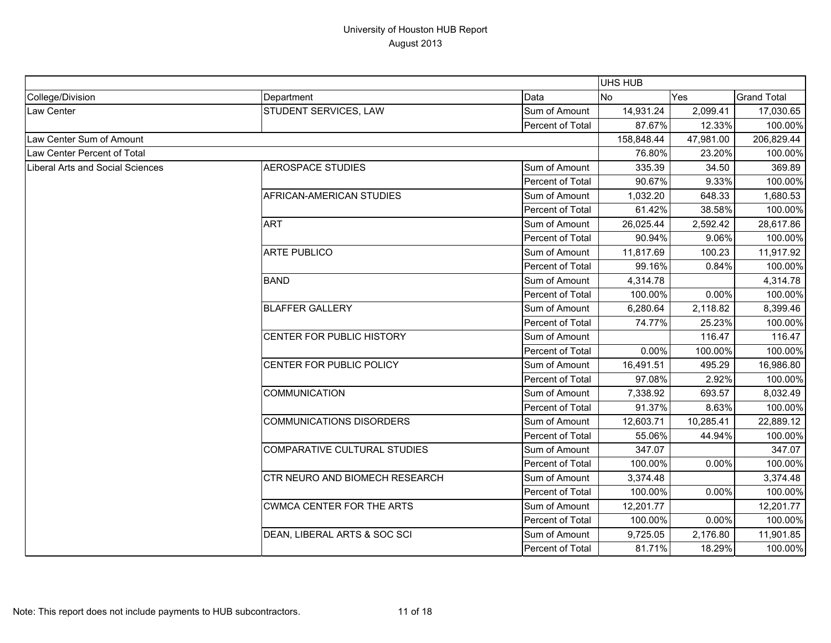|                                  |                                  |                  | UHS HUB    |           |                    |
|----------------------------------|----------------------------------|------------------|------------|-----------|--------------------|
| College/Division                 | Department                       | Data             | <b>No</b>  | Yes       | <b>Grand Total</b> |
| Law Center                       | STUDENT SERVICES, LAW            | Sum of Amount    | 14,931.24  | 2,099.41  | 17,030.65          |
|                                  |                                  | Percent of Total | 87.67%     | 12.33%    | 100.00%            |
| Law Center Sum of Amount         |                                  |                  | 158,848.44 | 47,981.00 | 206,829.44         |
| Law Center Percent of Total      |                                  |                  | 76.80%     | 23.20%    | 100.00%            |
| Liberal Arts and Social Sciences | <b>AEROSPACE STUDIES</b>         | Sum of Amount    | 335.39     | 34.50     | 369.89             |
|                                  |                                  | Percent of Total | 90.67%     | 9.33%     | 100.00%            |
|                                  | AFRICAN-AMERICAN STUDIES         | Sum of Amount    | 1,032.20   | 648.33    | 1,680.53           |
|                                  |                                  | Percent of Total | 61.42%     | 38.58%    | 100.00%            |
|                                  | <b>ART</b>                       | Sum of Amount    | 26,025.44  | 2,592.42  | 28,617.86          |
|                                  |                                  | Percent of Total | 90.94%     | 9.06%     | 100.00%            |
|                                  | <b>ARTE PUBLICO</b>              | Sum of Amount    | 11,817.69  | 100.23    | 11,917.92          |
|                                  |                                  | Percent of Total | 99.16%     | 0.84%     | 100.00%            |
|                                  | <b>BAND</b>                      | Sum of Amount    | 4,314.78   |           | 4,314.78           |
|                                  |                                  | Percent of Total | 100.00%    | 0.00%     | 100.00%            |
|                                  | <b>BLAFFER GALLERY</b>           | Sum of Amount    | 6,280.64   | 2,118.82  | 8,399.46           |
|                                  |                                  | Percent of Total | 74.77%     | 25.23%    | 100.00%            |
|                                  | CENTER FOR PUBLIC HISTORY        | Sum of Amount    |            | 116.47    | 116.47             |
|                                  |                                  | Percent of Total | 0.00%      | 100.00%   | 100.00%            |
|                                  | CENTER FOR PUBLIC POLICY         | Sum of Amount    | 16,491.51  | 495.29    | 16,986.80          |
|                                  |                                  | Percent of Total | 97.08%     | 2.92%     | 100.00%            |
|                                  | <b>COMMUNICATION</b>             | Sum of Amount    | 7,338.92   | 693.57    | 8,032.49           |
|                                  |                                  | Percent of Total | 91.37%     | 8.63%     | 100.00%            |
|                                  | <b>COMMUNICATIONS DISORDERS</b>  | Sum of Amount    | 12,603.71  | 10,285.41 | 22,889.12          |
|                                  |                                  | Percent of Total | 55.06%     | 44.94%    | 100.00%            |
|                                  | COMPARATIVE CULTURAL STUDIES     | Sum of Amount    | 347.07     |           | 347.07             |
|                                  |                                  | Percent of Total | 100.00%    | 0.00%     | 100.00%            |
|                                  | CTR NEURO AND BIOMECH RESEARCH   | Sum of Amount    | 3,374.48   |           | 3,374.48           |
|                                  |                                  | Percent of Total | 100.00%    | 0.00%     | 100.00%            |
|                                  | <b>CWMCA CENTER FOR THE ARTS</b> | Sum of Amount    | 12,201.77  |           | 12,201.77          |
|                                  |                                  | Percent of Total | 100.00%    | 0.00%     | 100.00%            |
|                                  | DEAN, LIBERAL ARTS & SOC SCI     | Sum of Amount    | 9,725.05   | 2,176.80  | 11,901.85          |
|                                  |                                  | Percent of Total | 81.71%     | 18.29%    | 100.00%            |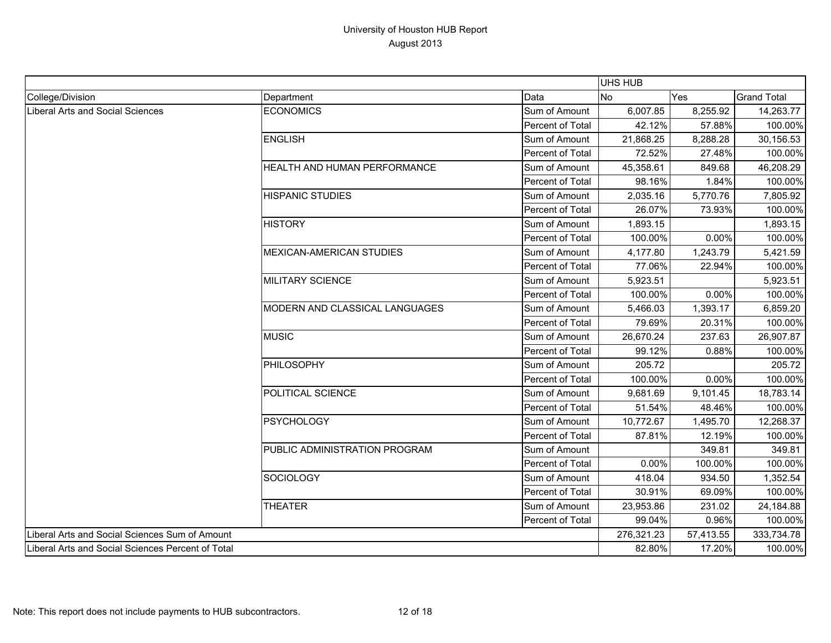|                                                   |                                 |                  | <b>UHS HUB</b> |           |                    |
|---------------------------------------------------|---------------------------------|------------------|----------------|-----------|--------------------|
| College/Division                                  | Department                      | Data             | No             | Yes       | <b>Grand Total</b> |
| <b>Liberal Arts and Social Sciences</b>           | <b>ECONOMICS</b>                | Sum of Amount    | 6,007.85       | 8,255.92  | 14,263.77          |
|                                                   |                                 | Percent of Total | 42.12%         | 57.88%    | 100.00%            |
|                                                   | <b>ENGLISH</b>                  | Sum of Amount    | 21,868.25      | 8,288.28  | 30,156.53          |
|                                                   |                                 | Percent of Total | 72.52%         | 27.48%    | 100.00%            |
|                                                   | HEALTH AND HUMAN PERFORMANCE    | Sum of Amount    | 45,358.61      | 849.68    | 46,208.29          |
|                                                   |                                 | Percent of Total | 98.16%         | 1.84%     | 100.00%            |
|                                                   | <b>HISPANIC STUDIES</b>         | Sum of Amount    | 2,035.16       | 5,770.76  | 7,805.92           |
|                                                   |                                 | Percent of Total | 26.07%         | 73.93%    | 100.00%            |
|                                                   | <b>HISTORY</b>                  | Sum of Amount    | 1,893.15       |           | 1,893.15           |
|                                                   |                                 | Percent of Total | 100.00%        | 0.00%     | 100.00%            |
|                                                   | <b>MEXICAN-AMERICAN STUDIES</b> | Sum of Amount    | 4,177.80       | 1,243.79  | 5,421.59           |
|                                                   |                                 | Percent of Total | 77.06%         | 22.94%    | 100.00%            |
|                                                   | MILITARY SCIENCE                | Sum of Amount    | 5,923.51       |           | 5,923.51           |
|                                                   |                                 | Percent of Total | 100.00%        | 0.00%     | 100.00%            |
|                                                   | MODERN AND CLASSICAL LANGUAGES  | Sum of Amount    | 5,466.03       | 1,393.17  | 6,859.20           |
|                                                   |                                 | Percent of Total | 79.69%         | 20.31%    | 100.00%            |
|                                                   | <b>MUSIC</b>                    | Sum of Amount    | 26,670.24      | 237.63    | 26,907.87          |
|                                                   |                                 | Percent of Total | 99.12%         | 0.88%     | 100.00%            |
|                                                   | PHILOSOPHY                      | Sum of Amount    | 205.72         |           | 205.72             |
|                                                   |                                 | Percent of Total | 100.00%        | 0.00%     | 100.00%            |
|                                                   | POLITICAL SCIENCE               | Sum of Amount    | 9,681.69       | 9,101.45  | 18,783.14          |
|                                                   |                                 | Percent of Total | 51.54%         | 48.46%    | 100.00%            |
|                                                   | <b>PSYCHOLOGY</b>               | Sum of Amount    | 10,772.67      | 1,495.70  | 12,268.37          |
|                                                   |                                 | Percent of Total | 87.81%         | 12.19%    | 100.00%            |
|                                                   | PUBLIC ADMINISTRATION PROGRAM   | Sum of Amount    |                | 349.81    | 349.81             |
|                                                   |                                 | Percent of Total | 0.00%          | 100.00%   | 100.00%            |
|                                                   | <b>SOCIOLOGY</b>                | Sum of Amount    | 418.04         | 934.50    | 1,352.54           |
|                                                   |                                 | Percent of Total | 30.91%         | 69.09%    | 100.00%            |
|                                                   | <b>THEATER</b>                  | Sum of Amount    | 23,953.86      | 231.02    | 24,184.88          |
|                                                   |                                 | Percent of Total | 99.04%         | 0.96%     | 100.00%            |
| Liberal Arts and Social Sciences Sum of Amount    |                                 |                  | 276,321.23     | 57,413.55 | 333,734.78         |
| Liberal Arts and Social Sciences Percent of Total |                                 | 82.80%           | 17.20%         | 100.00%   |                    |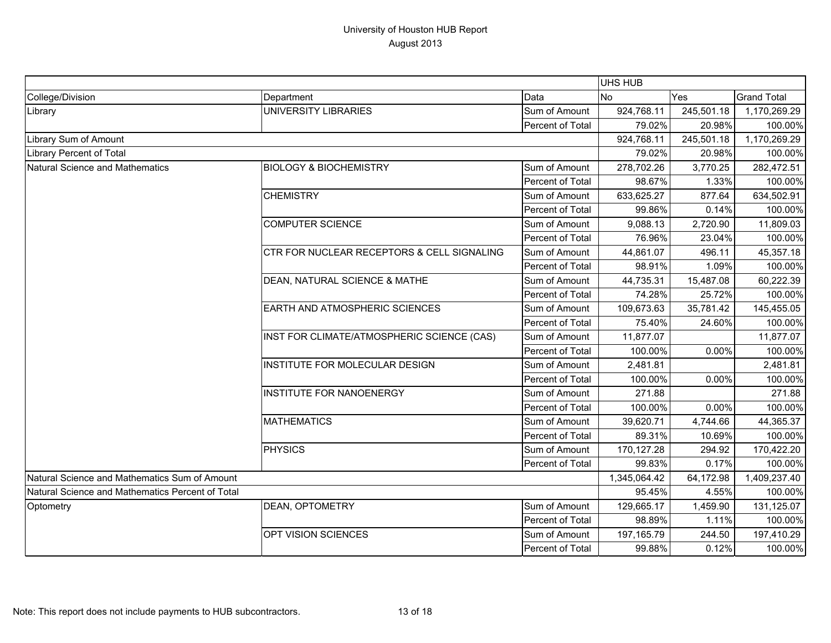|                                                  |                                                       |                         | UHS HUB      |            |                    |
|--------------------------------------------------|-------------------------------------------------------|-------------------------|--------------|------------|--------------------|
| College/Division                                 | Department                                            | Data                    | No<br>Yes    |            | <b>Grand Total</b> |
| Library                                          | <b>UNIVERSITY LIBRARIES</b>                           | Sum of Amount           | 924,768.11   | 245,501.18 | 1,170,269.29       |
|                                                  |                                                       | Percent of Total        | 79.02%       | 20.98%     | 100.00%            |
| Library Sum of Amount                            |                                                       |                         | 924,768.11   | 245,501.18 | 1,170,269.29       |
| <b>Library Percent of Total</b>                  |                                                       |                         | 79.02%       | 20.98%     | 100.00%            |
| Natural Science and Mathematics                  | <b>BIOLOGY &amp; BIOCHEMISTRY</b>                     | Sum of Amount           | 278,702.26   | 3,770.25   | 282,472.51         |
|                                                  |                                                       | Percent of Total        | 98.67%       | 1.33%      | 100.00%            |
|                                                  | <b>CHEMISTRY</b>                                      | Sum of Amount           | 633,625.27   | 877.64     | 634,502.91         |
|                                                  |                                                       | Percent of Total        | 99.86%       | 0.14%      | 100.00%            |
|                                                  | <b>COMPUTER SCIENCE</b>                               | Sum of Amount           | 9,088.13     | 2,720.90   | 11,809.03          |
|                                                  |                                                       | <b>Percent of Total</b> | 76.96%       | 23.04%     | 100.00%            |
|                                                  | <b>CTR FOR NUCLEAR RECEPTORS &amp; CELL SIGNALING</b> | Sum of Amount           | 44,861.07    | 496.11     | 45,357.18          |
|                                                  |                                                       | Percent of Total        | 98.91%       | 1.09%      | 100.00%            |
|                                                  | DEAN, NATURAL SCIENCE & MATHE                         | Sum of Amount           | 44,735.31    | 15,487.08  | 60,222.39          |
|                                                  |                                                       | <b>Percent of Total</b> | 74.28%       | 25.72%     | 100.00%            |
|                                                  | <b>EARTH AND ATMOSPHERIC SCIENCES</b>                 | Sum of Amount           | 109,673.63   | 35,781.42  | 145,455.05         |
|                                                  |                                                       | Percent of Total        | 75.40%       | 24.60%     | 100.00%            |
|                                                  | INST FOR CLIMATE/ATMOSPHERIC SCIENCE (CAS)            | Sum of Amount           | 11,877.07    |            | 11,877.07          |
|                                                  |                                                       | Percent of Total        | 100.00%      | 0.00%      | 100.00%            |
|                                                  | INSTITUTE FOR MOLECULAR DESIGN                        | Sum of Amount           | 2,481.81     |            | 2,481.81           |
|                                                  |                                                       | <b>Percent of Total</b> | 100.00%      | 0.00%      | 100.00%            |
|                                                  | <b>INSTITUTE FOR NANOENERGY</b>                       | Sum of Amount           | 271.88       |            | 271.88             |
|                                                  |                                                       | Percent of Total        | 100.00%      | 0.00%      | 100.00%            |
|                                                  | <b>MATHEMATICS</b>                                    | Sum of Amount           | 39,620.71    | 4,744.66   | 44,365.37          |
|                                                  |                                                       | Percent of Total        | 89.31%       | 10.69%     | 100.00%            |
|                                                  | <b>PHYSICS</b>                                        | Sum of Amount           | 170,127.28   | 294.92     | 170,422.20         |
|                                                  |                                                       | Percent of Total        | 99.83%       | 0.17%      | 100.00%            |
| Natural Science and Mathematics Sum of Amount    |                                                       |                         | 1,345,064.42 | 64,172.98  | 1,409,237.40       |
| Natural Science and Mathematics Percent of Total |                                                       | 95.45%                  | 4.55%        | 100.00%    |                    |
| Optometry                                        | <b>DEAN, OPTOMETRY</b>                                | Sum of Amount           | 129,665.17   | 1,459.90   | 131,125.07         |
|                                                  |                                                       | Percent of Total        | 98.89%       | 1.11%      | 100.00%            |
|                                                  | OPT VISION SCIENCES                                   | Sum of Amount           | 197, 165.79  | 244.50     | 197,410.29         |
|                                                  |                                                       | Percent of Total        | 99.88%       | 0.12%      | 100.00%            |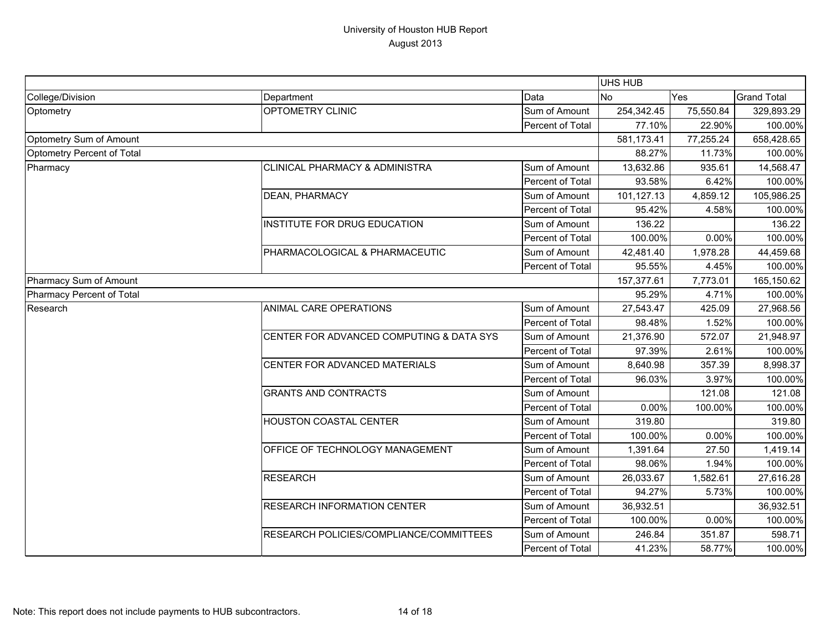|                            |                                           |                  | UHS HUB    |           |                    |
|----------------------------|-------------------------------------------|------------------|------------|-----------|--------------------|
| College/Division           | Department                                | Data             | <b>No</b>  | Yes       | <b>Grand Total</b> |
| Optometry                  | <b>OPTOMETRY CLINIC</b>                   | Sum of Amount    | 254,342.45 | 75,550.84 | 329,893.29         |
|                            |                                           | Percent of Total | 77.10%     | 22.90%    | 100.00%            |
| Optometry Sum of Amount    |                                           |                  | 581,173.41 | 77,255.24 | 658,428.65         |
| Optometry Percent of Total |                                           |                  | 88.27%     | 11.73%    | 100.00%            |
| Pharmacy                   | <b>CLINICAL PHARMACY &amp; ADMINISTRA</b> | Sum of Amount    | 13,632.86  | 935.61    | 14,568.47          |
|                            |                                           | Percent of Total | 93.58%     | 6.42%     | 100.00%            |
|                            | <b>DEAN, PHARMACY</b>                     | Sum of Amount    | 101,127.13 | 4,859.12  | 105,986.25         |
|                            |                                           | Percent of Total | 95.42%     | 4.58%     | 100.00%            |
|                            | INSTITUTE FOR DRUG EDUCATION              | Sum of Amount    | 136.22     |           | 136.22             |
|                            |                                           | Percent of Total | 100.00%    | 0.00%     | 100.00%            |
|                            | PHARMACOLOGICAL & PHARMACEUTIC            | Sum of Amount    | 42,481.40  | 1,978.28  | 44,459.68          |
|                            |                                           | Percent of Total | 95.55%     | 4.45%     | 100.00%            |
| Pharmacy Sum of Amount     |                                           |                  | 157,377.61 | 7,773.01  | 165,150.62         |
| Pharmacy Percent of Total  |                                           |                  | 95.29%     | 4.71%     | 100.00%            |
| Research                   | ANIMAL CARE OPERATIONS                    | Sum of Amount    | 27,543.47  | 425.09    | 27,968.56          |
|                            |                                           | Percent of Total | 98.48%     | 1.52%     | 100.00%            |
|                            | CENTER FOR ADVANCED COMPUTING & DATA SYS  | Sum of Amount    | 21,376.90  | 572.07    | 21,948.97          |
|                            |                                           | Percent of Total | 97.39%     | 2.61%     | 100.00%            |
|                            | CENTER FOR ADVANCED MATERIALS             | Sum of Amount    | 8,640.98   | 357.39    | 8,998.37           |
|                            |                                           | Percent of Total | 96.03%     | 3.97%     | 100.00%            |
|                            | <b>GRANTS AND CONTRACTS</b>               | Sum of Amount    |            | 121.08    | 121.08             |
|                            |                                           | Percent of Total | 0.00%      | 100.00%   | 100.00%            |
|                            | <b>HOUSTON COASTAL CENTER</b>             | Sum of Amount    | 319.80     |           | 319.80             |
|                            |                                           | Percent of Total | 100.00%    | 0.00%     | 100.00%            |
|                            | OFFICE OF TECHNOLOGY MANAGEMENT           | Sum of Amount    | 1,391.64   | 27.50     | 1,419.14           |
|                            |                                           | Percent of Total | 98.06%     | 1.94%     | 100.00%            |
|                            | <b>RESEARCH</b>                           | Sum of Amount    | 26,033.67  | 1,582.61  | 27,616.28          |
|                            |                                           | Percent of Total | 94.27%     | 5.73%     | 100.00%            |
|                            | <b>RESEARCH INFORMATION CENTER</b>        | Sum of Amount    | 36,932.51  |           | 36,932.51          |
|                            |                                           | Percent of Total | 100.00%    | 0.00%     | 100.00%            |
|                            | RESEARCH POLICIES/COMPLIANCE/COMMITTEES   | Sum of Amount    | 246.84     | 351.87    | 598.71             |
|                            |                                           | Percent of Total | 41.23%     | 58.77%    | 100.00%            |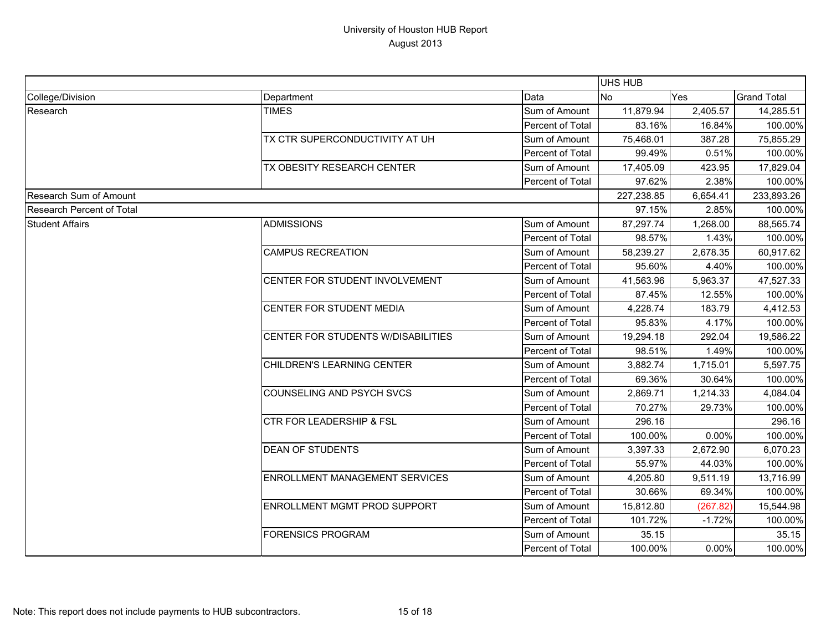|                           |                                       |                         | UHS HUB    |          |                    |
|---------------------------|---------------------------------------|-------------------------|------------|----------|--------------------|
| College/Division          | Department                            | Data                    | <b>No</b>  | Yes      | <b>Grand Total</b> |
| Research                  | <b>TIMES</b>                          | Sum of Amount           | 11,879.94  | 2,405.57 | 14,285.51          |
|                           |                                       | Percent of Total        | 83.16%     | 16.84%   | 100.00%            |
|                           | TX CTR SUPERCONDUCTIVITY AT UH        | Sum of Amount           | 75,468.01  | 387.28   | 75,855.29          |
|                           |                                       | Percent of Total        | 99.49%     | 0.51%    | 100.00%            |
|                           | TX OBESITY RESEARCH CENTER            | Sum of Amount           | 17,405.09  | 423.95   | 17,829.04          |
|                           |                                       | Percent of Total        | 97.62%     | 2.38%    | 100.00%            |
| Research Sum of Amount    |                                       |                         | 227,238.85 | 6,654.41 | 233,893.26         |
| Research Percent of Total |                                       |                         | 97.15%     | 2.85%    | 100.00%            |
| <b>Student Affairs</b>    | <b>ADMISSIONS</b>                     | Sum of Amount           | 87,297.74  | 1,268.00 | 88,565.74          |
|                           |                                       | <b>Percent of Total</b> | 98.57%     | 1.43%    | 100.00%            |
|                           | <b>CAMPUS RECREATION</b>              | Sum of Amount           | 58,239.27  | 2,678.35 | 60,917.62          |
|                           |                                       | Percent of Total        | 95.60%     | 4.40%    | 100.00%            |
|                           | CENTER FOR STUDENT INVOLVEMENT        | Sum of Amount           | 41,563.96  | 5,963.37 | 47,527.33          |
|                           |                                       | Percent of Total        | 87.45%     | 12.55%   | 100.00%            |
|                           | CENTER FOR STUDENT MEDIA              | Sum of Amount           | 4,228.74   | 183.79   | 4,412.53           |
|                           |                                       | Percent of Total        | 95.83%     | 4.17%    | 100.00%            |
|                           | CENTER FOR STUDENTS W/DISABILITIES    | Sum of Amount           | 19,294.18  | 292.04   | 19,586.22          |
|                           |                                       | Percent of Total        | 98.51%     | 1.49%    | 100.00%            |
|                           | CHILDREN'S LEARNING CENTER            | Sum of Amount           | 3,882.74   | 1,715.01 | 5,597.75           |
|                           |                                       | Percent of Total        | 69.36%     | 30.64%   | 100.00%            |
|                           | COUNSELING AND PSYCH SVCS             | Sum of Amount           | 2,869.71   | 1,214.33 | 4,084.04           |
|                           |                                       | Percent of Total        | 70.27%     | 29.73%   | 100.00%            |
|                           | <b>CTR FOR LEADERSHIP &amp; FSL</b>   | Sum of Amount           | 296.16     |          | 296.16             |
|                           |                                       | Percent of Total        | 100.00%    | 0.00%    | 100.00%            |
|                           | <b>DEAN OF STUDENTS</b>               | Sum of Amount           | 3,397.33   | 2,672.90 | 6,070.23           |
|                           |                                       | <b>Percent of Total</b> | 55.97%     | 44.03%   | 100.00%            |
|                           | <b>ENROLLMENT MANAGEMENT SERVICES</b> | Sum of Amount           | 4,205.80   | 9,511.19 | 13,716.99          |
|                           |                                       | Percent of Total        | 30.66%     | 69.34%   | 100.00%            |
|                           | ENROLLMENT MGMT PROD SUPPORT          | Sum of Amount           | 15,812.80  | (267.82) | 15,544.98          |
|                           |                                       | Percent of Total        | 101.72%    | $-1.72%$ | 100.00%            |
|                           | <b>FORENSICS PROGRAM</b>              | Sum of Amount           | 35.15      |          | 35.15              |
|                           |                                       | Percent of Total        | 100.00%    | $0.00\%$ | 100.00%            |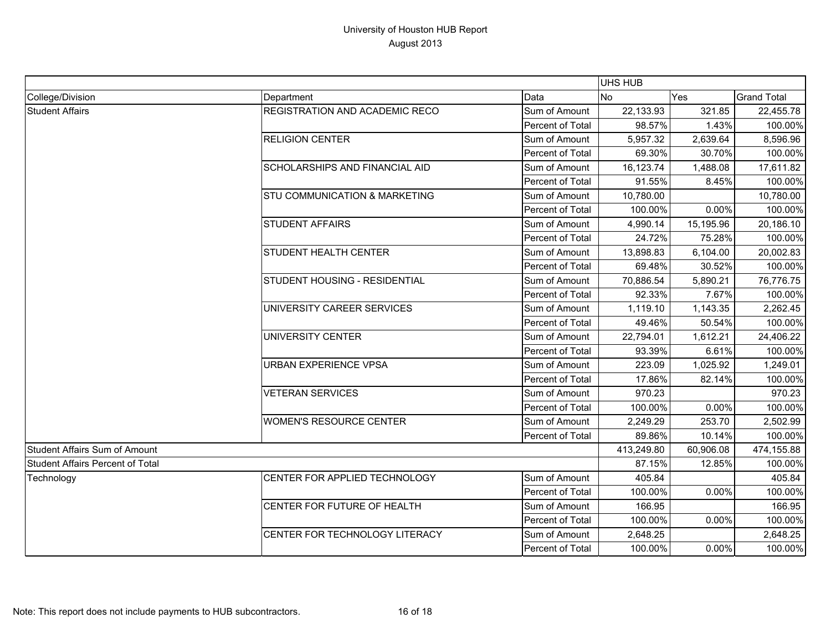|                                         |                                          |                  | UHS HUB    |           |                    |
|-----------------------------------------|------------------------------------------|------------------|------------|-----------|--------------------|
| College/Division                        | Department                               | Data             | <b>No</b>  | Yes       | <b>Grand Total</b> |
| <b>Student Affairs</b>                  | REGISTRATION AND ACADEMIC RECO           | Sum of Amount    | 22,133.93  | 321.85    | 22,455.78          |
|                                         |                                          | Percent of Total | 98.57%     | 1.43%     | 100.00%            |
|                                         | <b>RELIGION CENTER</b>                   | Sum of Amount    | 5,957.32   | 2,639.64  | 8,596.96           |
|                                         |                                          | Percent of Total | 69.30%     | 30.70%    | 100.00%            |
|                                         | <b>SCHOLARSHIPS AND FINANCIAL AID</b>    | Sum of Amount    | 16,123.74  | 1,488.08  | 17,611.82          |
|                                         |                                          | Percent of Total | 91.55%     | 8.45%     | 100.00%            |
|                                         | <b>STU COMMUNICATION &amp; MARKETING</b> | Sum of Amount    | 10,780.00  |           | 10,780.00          |
|                                         |                                          | Percent of Total | 100.00%    | 0.00%     | 100.00%            |
|                                         | <b>STUDENT AFFAIRS</b>                   | Sum of Amount    | 4,990.14   | 15,195.96 | 20,186.10          |
|                                         |                                          | Percent of Total | 24.72%     | 75.28%    | 100.00%            |
|                                         | <b>STUDENT HEALTH CENTER</b>             | Sum of Amount    | 13,898.83  | 6,104.00  | 20,002.83          |
|                                         |                                          | Percent of Total | 69.48%     | 30.52%    | 100.00%            |
|                                         | STUDENT HOUSING - RESIDENTIAL            | Sum of Amount    | 70,886.54  | 5,890.21  | 76,776.75          |
|                                         |                                          | Percent of Total | 92.33%     | 7.67%     | 100.00%            |
|                                         | UNIVERSITY CAREER SERVICES               | Sum of Amount    | 1,119.10   | 1,143.35  | 2,262.45           |
|                                         |                                          | Percent of Total | 49.46%     | 50.54%    | 100.00%            |
|                                         | <b>UNIVERSITY CENTER</b>                 | Sum of Amount    | 22,794.01  | 1,612.21  | 24,406.22          |
|                                         |                                          | Percent of Total | 93.39%     | 6.61%     | 100.00%            |
|                                         | <b>URBAN EXPERIENCE VPSA</b>             | Sum of Amount    | 223.09     | 1,025.92  | 1,249.01           |
|                                         |                                          | Percent of Total | 17.86%     | 82.14%    | 100.00%            |
|                                         | <b>VETERAN SERVICES</b>                  | Sum of Amount    | 970.23     |           | 970.23             |
|                                         |                                          | Percent of Total | 100.00%    | 0.00%     | 100.00%            |
|                                         | <b>WOMEN'S RESOURCE CENTER</b>           | Sum of Amount    | 2,249.29   | 253.70    | 2,502.99           |
|                                         |                                          | Percent of Total | 89.86%     | 10.14%    | 100.00%            |
| <b>Student Affairs Sum of Amount</b>    |                                          |                  | 413,249.80 | 60,906.08 | 474,155.88         |
| <b>Student Affairs Percent of Total</b> |                                          | 87.15%           | 12.85%     | 100.00%   |                    |
| Technology                              | CENTER FOR APPLIED TECHNOLOGY            | Sum of Amount    | 405.84     |           | 405.84             |
|                                         |                                          | Percent of Total | 100.00%    | 0.00%     | 100.00%            |
|                                         | CENTER FOR FUTURE OF HEALTH              | Sum of Amount    | 166.95     |           | 166.95             |
|                                         |                                          | Percent of Total | 100.00%    | 0.00%     | 100.00%            |
|                                         | CENTER FOR TECHNOLOGY LITERACY           | Sum of Amount    | 2,648.25   |           | 2,648.25           |
|                                         |                                          | Percent of Total | 100.00%    | 0.00%     | 100.00%            |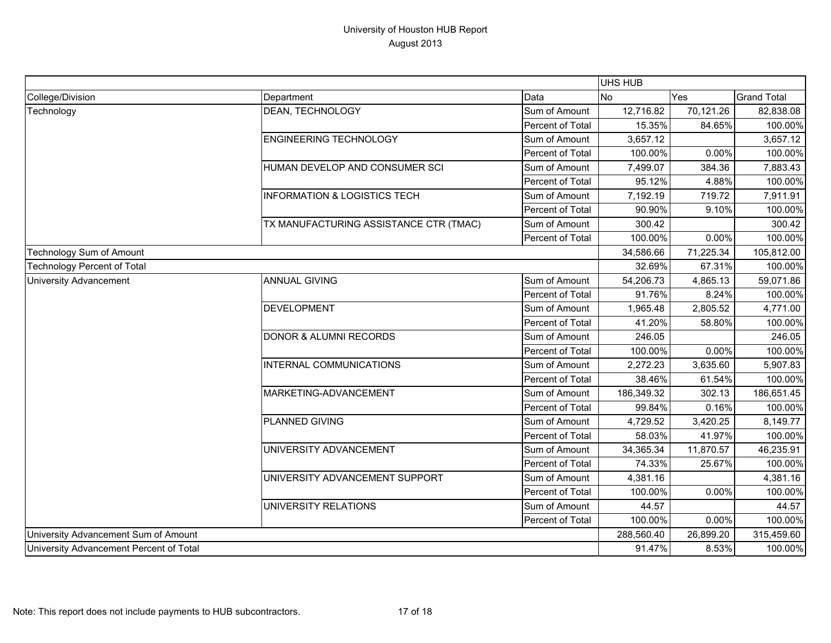|                                         |                                         |                  | UHS HUB    |            |                    |
|-----------------------------------------|-----------------------------------------|------------------|------------|------------|--------------------|
| College/Division                        | Department                              | Data             | <b>No</b>  | Yes        | <b>Grand Total</b> |
| Technology                              | <b>DEAN, TECHNOLOGY</b>                 | Sum of Amount    | 12,716.82  | 70,121.26  | 82,838.08          |
|                                         |                                         | Percent of Total | 15.35%     | 84.65%     | 100.00%            |
|                                         | <b>ENGINEERING TECHNOLOGY</b>           | Sum of Amount    | 3,657.12   |            | 3,657.12           |
|                                         |                                         | Percent of Total | 100.00%    | 0.00%      | 100.00%            |
|                                         | HUMAN DEVELOP AND CONSUMER SCI          | Sum of Amount    | 7,499.07   | 384.36     | 7,883.43           |
|                                         |                                         | Percent of Total | 95.12%     | 4.88%      | 100.00%            |
|                                         | <b>INFORMATION &amp; LOGISTICS TECH</b> | Sum of Amount    | 7,192.19   | 719.72     | 7,911.91           |
|                                         |                                         | Percent of Total | 90.90%     | 9.10%      | 100.00%            |
|                                         | TX MANUFACTURING ASSISTANCE CTR (TMAC)  | Sum of Amount    | 300.42     |            | 300.42             |
|                                         |                                         | Percent of Total | 100.00%    | 0.00%      | 100.00%            |
| Technology Sum of Amount                |                                         |                  | 34,586.66  | 71,225.34  | 105,812.00         |
| <b>Technology Percent of Total</b>      |                                         |                  | 32.69%     | 67.31%     | 100.00%            |
| <b>University Advancement</b>           | <b>ANNUAL GIVING</b>                    | Sum of Amount    | 54,206.73  | 4,865.13   | 59,071.86          |
|                                         |                                         | Percent of Total | 91.76%     | 8.24%      | 100.00%            |
|                                         | <b>DEVELOPMENT</b>                      | Sum of Amount    | 1,965.48   | 2,805.52   | 4,771.00           |
|                                         |                                         | Percent of Total | 41.20%     | 58.80%     | 100.00%            |
|                                         | <b>DONOR &amp; ALUMNI RECORDS</b>       | Sum of Amount    | 246.05     |            | 246.05             |
|                                         |                                         | Percent of Total | 100.00%    | 0.00%      | 100.00%            |
|                                         | INTERNAL COMMUNICATIONS                 | Sum of Amount    | 2,272.23   | 3,635.60   | 5,907.83           |
|                                         |                                         | Percent of Total | 38.46%     | 61.54%     | 100.00%            |
|                                         | MARKETING-ADVANCEMENT                   | Sum of Amount    | 186,349.32 | 302.13     | 186,651.45         |
|                                         |                                         | Percent of Total | 99.84%     | 0.16%      | 100.00%            |
|                                         | PLANNED GIVING                          | Sum of Amount    | 4,729.52   | 3,420.25   | 8,149.77           |
|                                         |                                         | Percent of Total | 58.03%     | 41.97%     | 100.00%            |
|                                         | UNIVERSITY ADVANCEMENT                  | Sum of Amount    | 34,365.34  | 11,870.57  | 46,235.91          |
|                                         |                                         | Percent of Total | 74.33%     | 25.67%     | 100.00%            |
|                                         | UNIVERSITY ADVANCEMENT SUPPORT          | Sum of Amount    | 4,381.16   |            | 4,381.16           |
|                                         |                                         | Percent of Total | 100.00%    | 0.00%      | 100.00%            |
|                                         | UNIVERSITY RELATIONS                    | Sum of Amount    | 44.57      |            | 44.57              |
|                                         |                                         | Percent of Total | 100.00%    | 0.00%      | 100.00%            |
| University Advancement Sum of Amount    |                                         | 288,560.40       | 26,899.20  | 315,459.60 |                    |
| University Advancement Percent of Total |                                         |                  | 91.47%     | 8.53%      | 100.00%            |